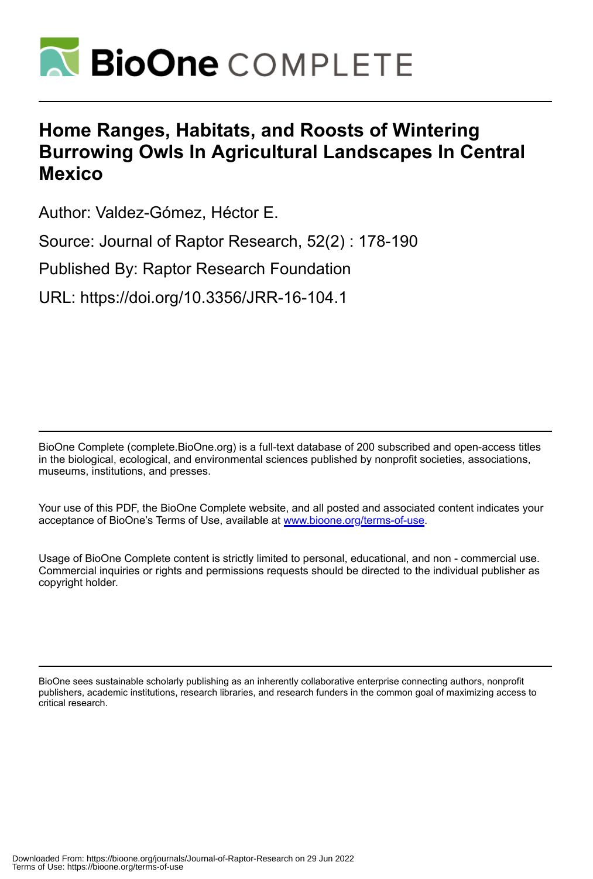

# **Home Ranges, Habitats, and Roosts of Wintering Burrowing Owls In Agricultural Landscapes In Central Mexico**

Author: Valdez-Gómez, Héctor E.

Source: Journal of Raptor Research, 52(2) : 178-190

Published By: Raptor Research Foundation

URL: https://doi.org/10.3356/JRR-16-104.1

BioOne Complete (complete.BioOne.org) is a full-text database of 200 subscribed and open-access titles in the biological, ecological, and environmental sciences published by nonprofit societies, associations, museums, institutions, and presses.

Your use of this PDF, the BioOne Complete website, and all posted and associated content indicates your acceptance of BioOne's Terms of Use, available at www.bioone.org/terms-of-use.

Usage of BioOne Complete content is strictly limited to personal, educational, and non - commercial use. Commercial inquiries or rights and permissions requests should be directed to the individual publisher as copyright holder.

BioOne sees sustainable scholarly publishing as an inherently collaborative enterprise connecting authors, nonprofit publishers, academic institutions, research libraries, and research funders in the common goal of maximizing access to critical research.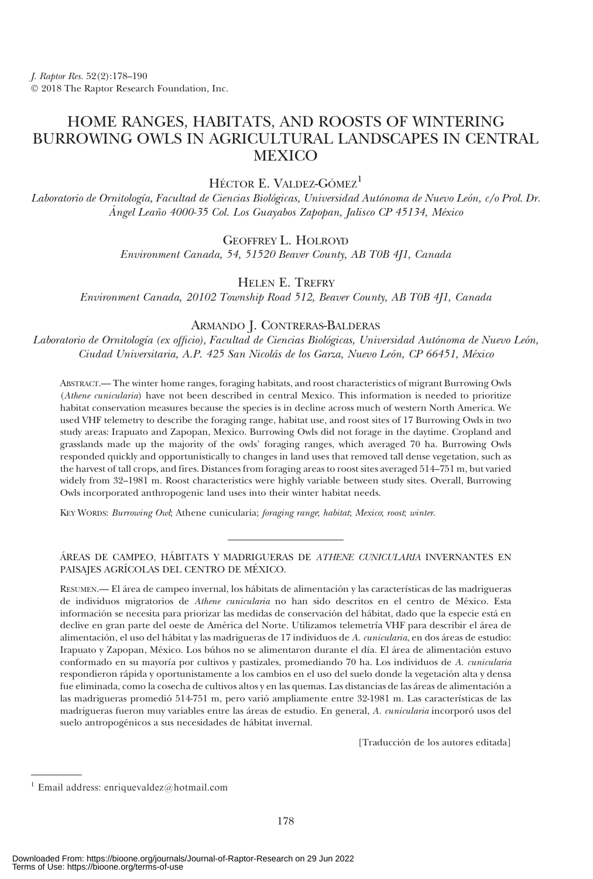# HOME RANGES, HABITATS, AND ROOSTS OF WINTERING BURROWING OWLS IN AGRICULTURAL LANDSCAPES IN CENTRAL **MEXICO**

HÉCTOR E. VALDEZ-GÓMEZ<sup>1</sup>

Laboratorio de Ornitología, Facultad de Ciencias Biológicas, Universidad Autónoma de Nuevo León, c/o Prol. Dr. Ángel Leaño 4000-35 Col. Los Guayabos Zapopan, Jalisco CP 45134, México

## GEOFFREY L. HOLROYD

Environment Canada, 54, 51520 Beaver County, AB T0B 4J1, Canada

# HELEN E. TREFRY

Environment Canada, 20102 Township Road 512, Beaver County, AB T0B 4J1, Canada

### ARMANDO J. CONTRERAS-BALDERAS

Laboratorio de Ornitología (ex officio), Facultad de Ciencias Biológicas, Universidad Autónoma de Nuevo León, Ciudad Universitaria, A.P. 425 San Nicolás de los Garza, Nuevo León, CP 66451, México

ABSTRACT.— The winter home ranges, foraging habitats, and roost characteristics of migrant Burrowing Owls (Athene cunicularia) have not been described in central Mexico. This information is needed to prioritize habitat conservation measures because the species is in decline across much of western North America. We used VHF telemetry to describe the foraging range, habitat use, and roost sites of 17 Burrowing Owls in two study areas: Irapuato and Zapopan, Mexico. Burrowing Owls did not forage in the daytime. Cropland and grasslands made up the majority of the owls' foraging ranges, which averaged 70 ha. Burrowing Owls responded quickly and opportunistically to changes in land uses that removed tall dense vegetation, such as the harvest of tall crops, and fires. Distances from foraging areas to roost sites averaged 514–751 m, but varied widely from 32–1981 m. Roost characteristics were highly variable between study sites. Overall, Burrowing Owls incorporated anthropogenic land uses into their winter habitat needs.

KEY WORDS: Burrowing Owl; Athene cunicularia; foraging range; habitat; Mexico; roost; winter.

#### ÁREAS DE CAMPEO, HÁBITATS Y MADRIGUERAS DE ATHENE CUNICULARIA INVERNANTES EN PAISAJES AGRÍCOLAS DEL CENTRO DE MÉXICO.

RESUMEN.— El área de campeo invernal, los hábitats de alimentación y las características de las madrigueras de individuos migratorios de Athene cunicularia no han sido descritos en el centro de México. Esta información se necesita para priorizar las medidas de conservación del hábitat, dado que la especie está en declive en gran parte del oeste de América del Norte. Utilizamos telemetría VHF para describir el área de alimentación, el uso del hábitat y las madrigueras de 17 individuos de A. cunicularia, en dos áreas de estudio: Irapuato y Zapopan, México. Los búhos no se alimentaron durante el día. El área de alimentación estuvo conformado en su mayoría por cultivos y pastizales, promediando 70 ha. Los individuos de A. cunicularia respondieron rápida y oportunistamente a los cambios en el uso del suelo donde la vegetación alta y densa fue eliminada, como la cosecha de cultivos altos y en las quemas. Las distancias de las áreas de alimentación a las madrigueras promedió 514-751 m, pero varió ampliamente entre 32-1981 m. Las características de las madrigueras fueron muy variables entre las áreas de estudio. En general, A. cunicularia incorporó usos del suelo antropogénicos a sus necesidades de hábitat invernal.

[Traducción de los autores editada]

<sup>1</sup> Email address: enriquevaldez@hotmail.com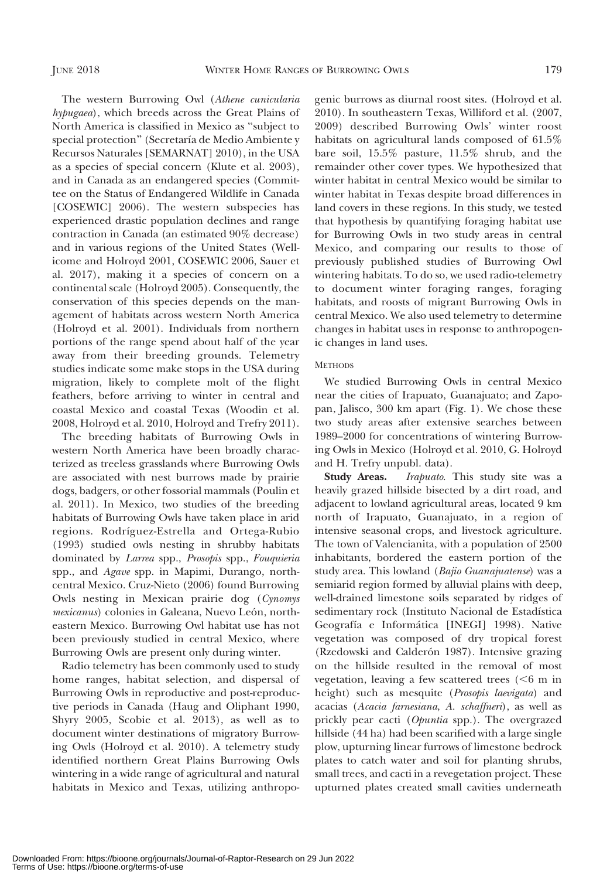genic burrows as diurnal roost sites. (Holroyd et al. 2010). In southeastern Texas, Williford et al. (2007, 2009) described Burrowing Owls' winter roost habitats on agricultural lands composed of 61.5% bare soil, 15.5% pasture, 11.5% shrub, and the remainder other cover types. We hypothesized that winter habitat in central Mexico would be similar to winter habitat in Texas despite broad differences in land covers in these regions. In this study, we tested

North America is classified in Mexico as ''subject to special protection" (Secretaría de Medio Ambiente y Recursos Naturales [SEMARNAT] 2010), in the USA as a species of special concern (Klute et al. 2003), and in Canada as an endangered species (Committee on the Status of Endangered Wildlife in Canada [COSEWIC] 2006). The western subspecies has experienced drastic population declines and range contraction in Canada (an estimated 90% decrease) and in various regions of the United States (Wellicome and Holroyd 2001, COSEWIC 2006, Sauer et al. 2017), making it a species of concern on a continental scale (Holroyd 2005). Consequently, the conservation of this species depends on the management of habitats across western North America (Holroyd et al. 2001). Individuals from northern portions of the range spend about half of the year away from their breeding grounds. Telemetry studies indicate some make stops in the USA during migration, likely to complete molt of the flight feathers, before arriving to winter in central and coastal Mexico and coastal Texas (Woodin et al. 2008, Holroyd et al. 2010, Holroyd and Trefry 2011).

The western Burrowing Owl (Athene cunicularia hypugaea), which breeds across the Great Plains of

The breeding habitats of Burrowing Owls in western North America have been broadly characterized as treeless grasslands where Burrowing Owls are associated with nest burrows made by prairie dogs, badgers, or other fossorial mammals (Poulin et al. 2011). In Mexico, two studies of the breeding habitats of Burrowing Owls have taken place in arid regions. Rodríguez-Estrella and Ortega-Rubio (1993) studied owls nesting in shrubby habitats dominated by Larrea spp., Prosopis spp., Fouquieria spp., and Agave spp. in Mapimi, Durango, northcentral Mexico. Cruz-Nieto (2006) found Burrowing Owls nesting in Mexican prairie dog (Cynomys mexicanus) colonies in Galeana, Nuevo León, northeastern Mexico. Burrowing Owl habitat use has not been previously studied in central Mexico, where Burrowing Owls are present only during winter.

Radio telemetry has been commonly used to study home ranges, habitat selection, and dispersal of Burrowing Owls in reproductive and post-reproductive periods in Canada (Haug and Oliphant 1990, Shyry 2005, Scobie et al. 2013), as well as to document winter destinations of migratory Burrowing Owls (Holroyd et al. 2010). A telemetry study identified northern Great Plains Burrowing Owls wintering in a wide range of agricultural and natural habitats in Mexico and Texas, utilizing anthropo-

Mexico, and comparing our results to those of previously published studies of Burrowing Owl wintering habitats. To do so, we used radio-telemetry to document winter foraging ranges, foraging habitats, and roosts of migrant Burrowing Owls in central Mexico. We also used telemetry to determine changes in habitat uses in response to anthropogenic changes in land uses. **METHODS** We studied Burrowing Owls in central Mexico

that hypothesis by quantifying foraging habitat use for Burrowing Owls in two study areas in central

near the cities of Irapuato, Guanajuato; and Zapopan, Jalisco, 300 km apart (Fig. 1). We chose these two study areas after extensive searches between 1989–2000 for concentrations of wintering Burrowing Owls in Mexico (Holroyd et al. 2010, G. Holroyd and H. Trefry unpubl. data).

Study Areas. Irapuato. This study site was a heavily grazed hillside bisected by a dirt road, and adjacent to lowland agricultural areas, located 9 km north of Irapuato, Guanajuato, in a region of intensive seasonal crops, and livestock agriculture. The town of Valencianita, with a population of 2500 inhabitants, bordered the eastern portion of the study area. This lowland (Bajio Guanajuatense) was a semiarid region formed by alluvial plains with deep, well-drained limestone soils separated by ridges of sedimentary rock (Instituto Nacional de Estadística Geografía e Informática [INEGI] 1998). Native vegetation was composed of dry tropical forest (Rzedowski and Calderón 1987). Intensive grazing on the hillside resulted in the removal of most vegetation, leaving a few scattered trees  $( $6 \text{ m in}$$ height) such as mesquite (Prosopis laevigata) and acacias (Acacia farnesiana, A. schaffneri), as well as prickly pear cacti (Opuntia spp.). The overgrazed hillside (44 ha) had been scarified with a large single plow, upturning linear furrows of limestone bedrock plates to catch water and soil for planting shrubs, small trees, and cacti in a revegetation project. These upturned plates created small cavities underneath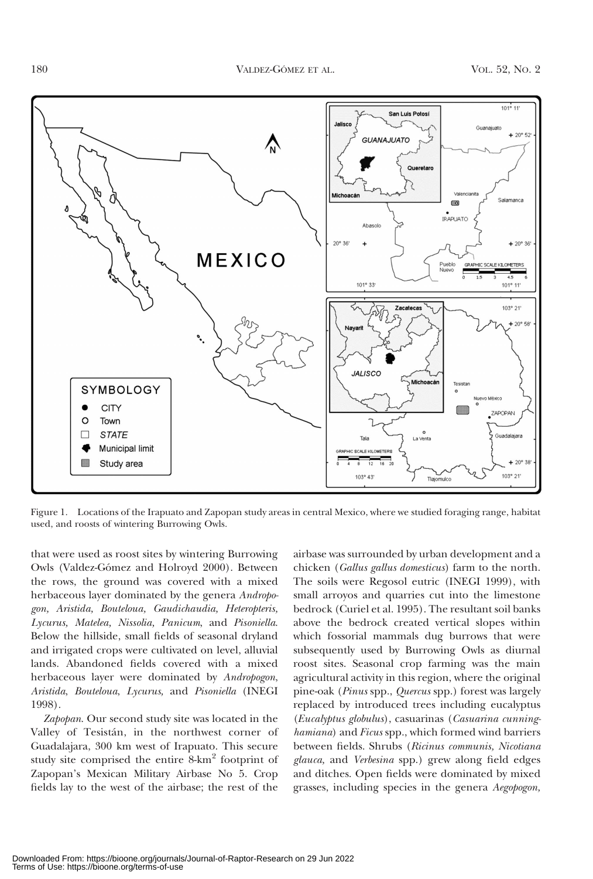

Figure 1. Locations of the Irapuato and Zapopan study areas in central Mexico, where we studied foraging range, habitat used, and roosts of wintering Burrowing Owls.

that were used as roost sites by wintering Burrowing Owls (Valdez-Gómez and Holroyd 2000). Between the rows, the ground was covered with a mixed herbaceous layer dominated by the genera Andropogon, Aristida, Bouteloua, Gaudichaudia, Heteropteris, Lycurus, Matelea, Nissolia, Panicum, and Pisoniella. Below the hillside, small fields of seasonal dryland and irrigated crops were cultivated on level, alluvial lands. Abandoned fields covered with a mixed herbaceous layer were dominated by Andropogon, Aristida, Bouteloua, Lycurus, and Pisoniella (INEGI 1998).

Zapopan. Our second study site was located in the Valley of Tesistán, in the northwest corner of Guadalajara, 300 km west of Irapuato. This secure study site comprised the entire 8-km<sup>2</sup> footprint of Zapopan's Mexican Military Airbase No 5. Crop fields lay to the west of the airbase; the rest of the

airbase was surrounded by urban development and a chicken (Gallus gallus domesticus) farm to the north. The soils were Regosol eutric (INEGI 1999), with small arroyos and quarries cut into the limestone bedrock (Curiel et al. 1995). The resultant soil banks above the bedrock created vertical slopes within which fossorial mammals dug burrows that were subsequently used by Burrowing Owls as diurnal roost sites. Seasonal crop farming was the main agricultural activity in this region, where the original pine-oak (Pinus spp., Quercus spp.) forest was largely replaced by introduced trees including eucalyptus (Eucalyptus globulus), casuarinas (Casuarina cunninghamiana) and Ficus spp., which formed wind barriers between fields. Shrubs (Ricinus communis, Nicotiana glauca, and Verbesina spp.) grew along field edges and ditches. Open fields were dominated by mixed grasses, including species in the genera Aegopogon,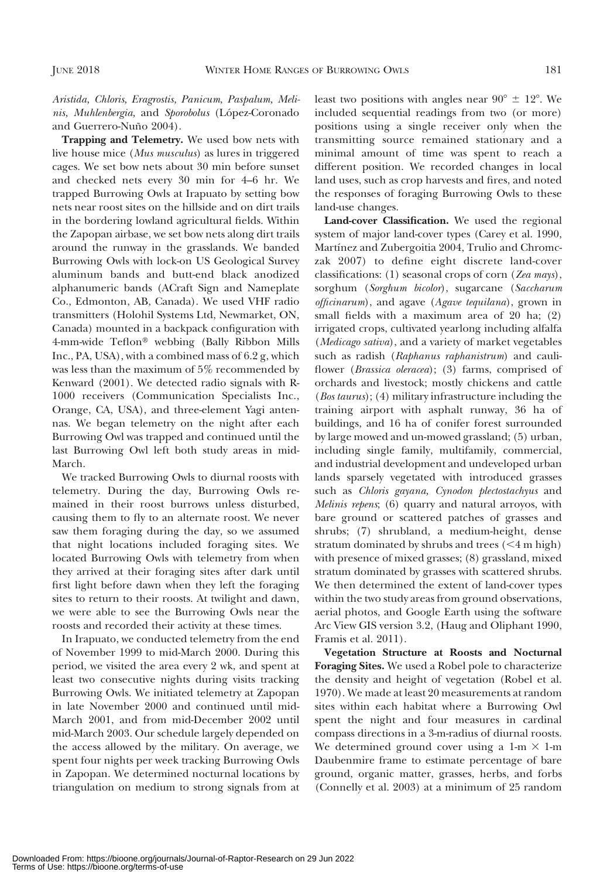Aristida, Chloris, Eragrostis, Panicum, Paspalum, Melinis, Muhlenbergia, and Sporobolus (López-Coronado and Guerrero-Nuño 2004).

Trapping and Telemetry. We used bow nets with live house mice (Mus musculus) as lures in triggered cages. We set bow nets about 30 min before sunset and checked nets every 30 min for 4–6 hr. We trapped Burrowing Owls at Irapuato by setting bow nets near roost sites on the hillside and on dirt trails in the bordering lowland agricultural fields. Within the Zapopan airbase, we set bow nets along dirt trails around the runway in the grasslands. We banded Burrowing Owls with lock-on US Geological Survey aluminum bands and butt-end black anodized alphanumeric bands (ACraft Sign and Nameplate Co., Edmonton, AB, Canada). We used VHF radio transmitters (Holohil Systems Ltd, Newmarket, ON, Canada) mounted in a backpack configuration with 4-mm-wide Teflon<sup>®</sup> webbing (Bally Ribbon Mills Inc., PA, USA), with a combined mass of 6.2 g, which was less than the maximum of 5% recommended by Kenward (2001). We detected radio signals with R-1000 receivers (Communication Specialists Inc., Orange, CA, USA), and three-element Yagi antennas. We began telemetry on the night after each Burrowing Owl was trapped and continued until the last Burrowing Owl left both study areas in mid-March.

We tracked Burrowing Owls to diurnal roosts with telemetry. During the day, Burrowing Owls remained in their roost burrows unless disturbed, causing them to fly to an alternate roost. We never saw them foraging during the day, so we assumed that night locations included foraging sites. We located Burrowing Owls with telemetry from when they arrived at their foraging sites after dark until first light before dawn when they left the foraging sites to return to their roosts. At twilight and dawn, we were able to see the Burrowing Owls near the roosts and recorded their activity at these times.

In Irapuato, we conducted telemetry from the end of November 1999 to mid-March 2000. During this period, we visited the area every 2 wk, and spent at least two consecutive nights during visits tracking Burrowing Owls. We initiated telemetry at Zapopan in late November 2000 and continued until mid-March 2001, and from mid-December 2002 until mid-March 2003. Our schedule largely depended on the access allowed by the military. On average, we spent four nights per week tracking Burrowing Owls in Zapopan. We determined nocturnal locations by triangulation on medium to strong signals from at least two positions with angles near  $90^{\circ} \pm 12^{\circ}$ . We included sequential readings from two (or more) positions using a single receiver only when the transmitting source remained stationary and a minimal amount of time was spent to reach a different position. We recorded changes in local land uses, such as crop harvests and fires, and noted the responses of foraging Burrowing Owls to these land-use changes.

Land-cover Classification. We used the regional system of major land-cover types (Carey et al. 1990, Martínez and Zubergoitia 2004, Trulio and Chromczak 2007) to define eight discrete land-cover classifications: (1) seasonal crops of corn (Zea mays), sorghum (Sorghum bicolor), sugarcane (Saccharum officinarum), and agave (Agave tequilana), grown in small fields with a maximum area of 20 ha; (2) irrigated crops, cultivated yearlong including alfalfa (Medicago sativa), and a variety of market vegetables such as radish (Raphanus raphanistrum) and cauliflower (Brassica oleracea); (3) farms, comprised of orchards and livestock; mostly chickens and cattle (Bos taurus); (4) military infrastructure including the training airport with asphalt runway, 36 ha of buildings, and 16 ha of conifer forest surrounded by large mowed and un-mowed grassland; (5) urban, including single family, multifamily, commercial, and industrial development and undeveloped urban lands sparsely vegetated with introduced grasses such as Chloris gayana, Cynodon plectostachyus and Melinis repens; (6) quarry and natural arroyos, with bare ground or scattered patches of grasses and shrubs; (7) shrubland, a medium-height, dense stratum dominated by shrubs and trees  $(<4 m high)$ with presence of mixed grasses; (8) grassland, mixed stratum dominated by grasses with scattered shrubs. We then determined the extent of land-cover types within the two study areas from ground observations, aerial photos, and Google Earth using the software Arc View GIS version 3.2, (Haug and Oliphant 1990, Framis et al. 2011).

Vegetation Structure at Roosts and Nocturnal Foraging Sites. We used a Robel pole to characterize the density and height of vegetation (Robel et al. 1970). We made at least 20 measurements at random sites within each habitat where a Burrowing Owl spent the night and four measures in cardinal compass directions in a 3-m-radius of diurnal roosts. We determined ground cover using a 1-m  $\times$  1-m Daubenmire frame to estimate percentage of bare ground, organic matter, grasses, herbs, and forbs (Connelly et al. 2003) at a minimum of 25 random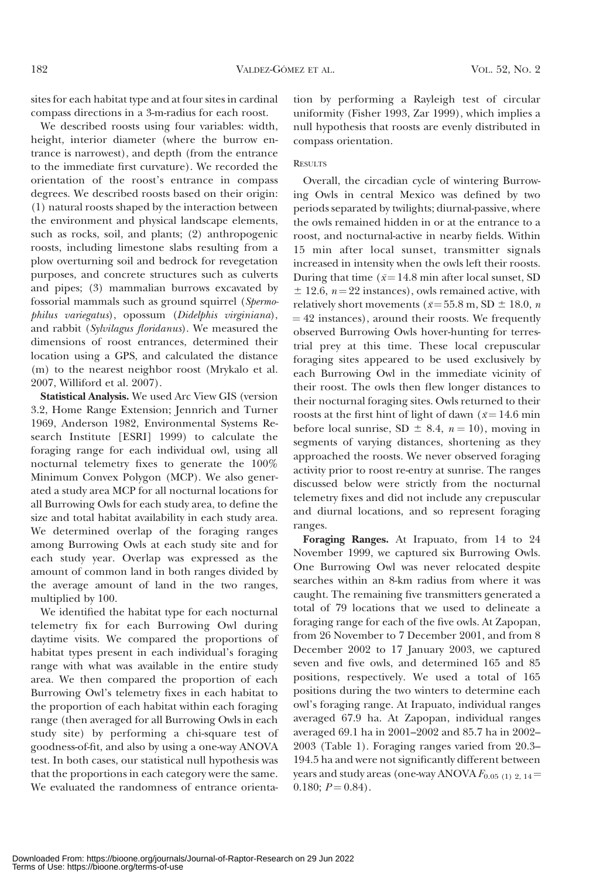sites for each habitat type and at four sites in cardinal compass directions in a 3-m-radius for each roost.

We described roosts using four variables: width, height, interior diameter (where the burrow entrance is narrowest), and depth (from the entrance to the immediate first curvature). We recorded the orientation of the roost's entrance in compass degrees. We described roosts based on their origin: (1) natural roosts shaped by the interaction between the environment and physical landscape elements, such as rocks, soil, and plants; (2) anthropogenic roosts, including limestone slabs resulting from a plow overturning soil and bedrock for revegetation purposes, and concrete structures such as culverts and pipes; (3) mammalian burrows excavated by fossorial mammals such as ground squirrel (Spermophilus variegatus), opossum (Didelphis virginiana), and rabbit (Sylvilagus floridanus). We measured the dimensions of roost entrances, determined their location using a GPS, and calculated the distance (m) to the nearest neighbor roost (Mrykalo et al. 2007, Williford et al. 2007).

Statistical Analysis. We used Arc View GIS (version 3.2, Home Range Extension; Jennrich and Turner 1969, Anderson 1982, Environmental Systems Research Institute [ESRI] 1999) to calculate the foraging range for each individual owl, using all nocturnal telemetry fixes to generate the 100% Minimum Convex Polygon (MCP). We also generated a study area MCP for all nocturnal locations for all Burrowing Owls for each study area, to define the size and total habitat availability in each study area. We determined overlap of the foraging ranges among Burrowing Owls at each study site and for each study year. Overlap was expressed as the amount of common land in both ranges divided by the average amount of land in the two ranges, multiplied by 100.

We identified the habitat type for each nocturnal telemetry fix for each Burrowing Owl during daytime visits. We compared the proportions of habitat types present in each individual's foraging range with what was available in the entire study area. We then compared the proportion of each Burrowing Owl's telemetry fixes in each habitat to the proportion of each habitat within each foraging range (then averaged for all Burrowing Owls in each study site) by performing a chi-square test of goodness-of-fit, and also by using a one-way ANOVA test. In both cases, our statistical null hypothesis was that the proportions in each category were the same. We evaluated the randomness of entrance orientation by performing a Rayleigh test of circular uniformity (Fisher 1993, Zar 1999), which implies a null hypothesis that roosts are evenly distributed in compass orientation.

#### **RESULTS**

Overall, the circadian cycle of wintering Burrowing Owls in central Mexico was defined by two periods separated by twilights; diurnal-passive, where the owls remained hidden in or at the entrance to a roost, and nocturnal-active in nearby fields. Within 15 min after local sunset, transmitter signals increased in intensity when the owls left their roosts. During that time ( $\bar{x}$ =14.8 min after local sunset, SD  $\pm$  12.6,  $n = 22$  instances), owls remained active, with relatively short movements ( $\bar{x}$ =55.8 m, SD  $\pm$  18.0, n  $=$  42 instances), around their roosts. We frequently observed Burrowing Owls hover-hunting for terrestrial prey at this time. These local crepuscular foraging sites appeared to be used exclusively by each Burrowing Owl in the immediate vicinity of their roost. The owls then flew longer distances to their nocturnal foraging sites. Owls returned to their roosts at the first hint of light of dawn ( $\bar{x}$  = 14.6 min before local sunrise, SD  $\pm$  8.4,  $n = 10$ ), moving in segments of varying distances, shortening as they approached the roosts. We never observed foraging activity prior to roost re-entry at sunrise. The ranges discussed below were strictly from the nocturnal telemetry fixes and did not include any crepuscular and diurnal locations, and so represent foraging ranges.

Foraging Ranges. At Irapuato, from 14 to 24 November 1999, we captured six Burrowing Owls. One Burrowing Owl was never relocated despite searches within an 8-km radius from where it was caught. The remaining five transmitters generated a total of 79 locations that we used to delineate a foraging range for each of the five owls. At Zapopan, from 26 November to 7 December 2001, and from 8 December 2002 to 17 January 2003, we captured seven and five owls, and determined 165 and 85 positions, respectively. We used a total of 165 positions during the two winters to determine each owl's foraging range. At Irapuato, individual ranges averaged 67.9 ha. At Zapopan, individual ranges averaged 69.1 ha in 2001–2002 and 85.7 ha in 2002– 2003 (Table 1). Foraging ranges varied from 20.3– 194.5 ha and were not significantly different between years and study areas (one-way ANOVA  $F_{0.05(1)2, 14}$  = 0.180;  $P = 0.84$ ).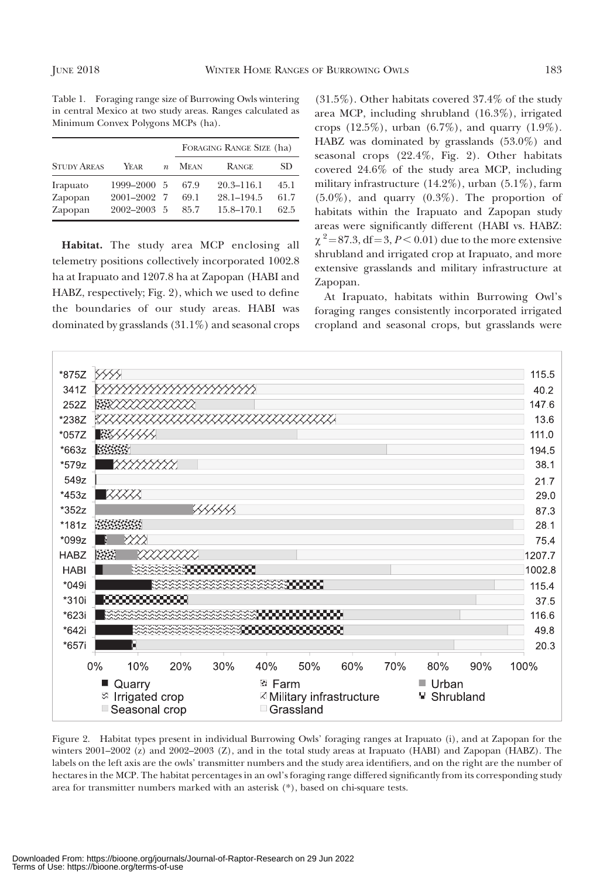Table 1. Foraging range size of Burrowing Owls wintering in central Mexico at two study areas. Ranges calculated as Minimum Convex Polygons MCPs (ha).

|                                |                                     |                  | FORAGING RANGE SIZE (ha) |                                                |                      |
|--------------------------------|-------------------------------------|------------------|--------------------------|------------------------------------------------|----------------------|
| <b>STUDY AREAS</b>             | YEAR                                | $\boldsymbol{n}$ | <b>MEAN</b>              | <b>RANGE</b>                                   | SD.                  |
| Irapuato<br>Zapopan<br>Zapopan | 1999-2000<br>2001-2002<br>2002-2003 | -5<br>-5         | 67.9<br>69.1<br>85.7     | $20.3 - 116.1$<br>$28.1 - 194.5$<br>15.8-170.1 | 45.1<br>61.7<br>62.5 |

Habitat. The study area MCP enclosing all telemetry positions collectively incorporated 1002.8 ha at Irapuato and 1207.8 ha at Zapopan (HABI and HABZ, respectively; Fig. 2), which we used to define the boundaries of our study areas. HABI was dominated by grasslands (31.1%) and seasonal crops

(31.5%). Other habitats covered 37.4% of the study area MCP, including shrubland (16.3%), irrigated crops  $(12.5\%)$ , urban  $(6.7\%)$ , and quarry  $(1.9\%)$ . HABZ was dominated by grasslands (53.0%) and seasonal crops (22.4%, Fig. 2). Other habitats covered 24.6% of the study area MCP, including military infrastructure  $(14.2\%)$ , urban  $(5.1\%)$ , farm  $(5.0\%)$ , and quarry  $(0.3\%)$ . The proportion of habitats within the Irapuato and Zapopan study areas were significantly different (HABI vs. HABZ:  $\chi$   $\rm{^2}{=}\,87.3, df{=}3, P{<}\,0.01)$  due to the more extensive shrubland and irrigated crop at Irapuato, and more extensive grasslands and military infrastructure at Zapopan.

At Irapuato, habitats within Burrowing Owl's foraging ranges consistently incorporated irrigated cropland and seasonal crops, but grasslands were



Figure 2. Habitat types present in individual Burrowing Owls' foraging ranges at Irapuato (i), and at Zapopan for the winters 2001–2002 (z) and 2002–2003 (Z), and in the total study areas at Irapuato (HABI) and Zapopan (HABZ). The labels on the left axis are the owls' transmitter numbers and the study area identifiers, and on the right are the number of hectares in the MCP. The habitat percentages in an owl's foraging range differed significantly from its corresponding study area for transmitter numbers marked with an asterisk (\*), based on chi-square tests.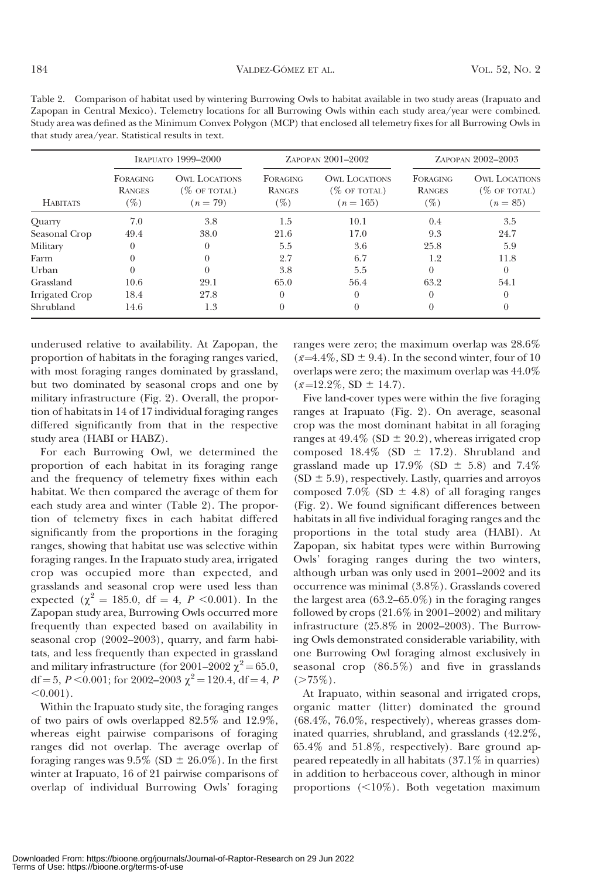|                 | IRAPUATO 1999-2000                         |                                                       | ZAPOPAN 2001-2002                          |                                                        | ZAPOPAN 2002-2003                          |                                                       |
|-----------------|--------------------------------------------|-------------------------------------------------------|--------------------------------------------|--------------------------------------------------------|--------------------------------------------|-------------------------------------------------------|
| <b>HABITATS</b> | <b>FORAGING</b><br><b>RANGES</b><br>$(\%)$ | <b>OWL LOCATIONS</b><br>$(\%$ OF TOTAL)<br>$(n = 79)$ | <b>FORAGING</b><br><b>RANGES</b><br>$(\%)$ | <b>OWL LOCATIONS</b><br>$(\%$ OF TOTAL)<br>$(n = 165)$ | <b>FORAGING</b><br><b>RANGES</b><br>$(\%)$ | <b>OWL LOCATIONS</b><br>$(\%$ OF TOTAL)<br>$(n = 85)$ |
| Quarry          | 7.0                                        | 3.8                                                   | 1.5                                        | 10.1                                                   | 0.4                                        | 3.5                                                   |
| Seasonal Crop   | 49.4                                       | 38.0                                                  | 21.6                                       | 17.0                                                   | 9.3                                        | 24.7                                                  |
| Military        |                                            | $\Omega$                                              | 5.5                                        | 3.6                                                    | 25.8                                       | 5.9                                                   |
| Farm            |                                            |                                                       | 2.7                                        | 6.7                                                    | 1.2                                        | 11.8                                                  |
| Urban           |                                            | 0                                                     | 3.8                                        | 5.5                                                    | $\Omega$                                   | $\Omega$                                              |
| Grassland       | 10.6                                       | 29.1                                                  | 65.0                                       | 56.4                                                   | 63.2                                       | 54.1                                                  |
| Irrigated Crop  | 18.4                                       | 27.8                                                  | $\Omega$                                   | $\Omega$                                               | $\theta$                                   | $\Omega$                                              |
| Shrubland       | 14.6                                       | 1.3                                                   | $\theta$                                   | 0                                                      | $\theta$                                   | 0                                                     |

Table 2. Comparison of habitat used by wintering Burrowing Owls to habitat available in two study areas (Irapuato and Zapopan in Central Mexico). Telemetry locations for all Burrowing Owls within each study area/year were combined. Study area was defined as the Minimum Convex Polygon (MCP) that enclosed all telemetry fixes for all Burrowing Owls in that study area/year. Statistical results in text.

underused relative to availability. At Zapopan, the proportion of habitats in the foraging ranges varied, with most foraging ranges dominated by grassland, but two dominated by seasonal crops and one by military infrastructure (Fig. 2). Overall, the proportion of habitats in 14 of 17 individual foraging ranges differed significantly from that in the respective study area (HABI or HABZ).

For each Burrowing Owl, we determined the proportion of each habitat in its foraging range and the frequency of telemetry fixes within each habitat. We then compared the average of them for each study area and winter (Table 2). The proportion of telemetry fixes in each habitat differed significantly from the proportions in the foraging ranges, showing that habitat use was selective within foraging ranges. In the Irapuato study area, irrigated crop was occupied more than expected, and grasslands and seasonal crop were used less than expected ( $\chi^2 = 185.0$ , df = 4, P < 0.001). In the Zapopan study area, Burrowing Owls occurred more frequently than expected based on availability in seasonal crop (2002–2003), quarry, and farm habitats, and less frequently than expected in grassland and military infrastructure (for 2001–2002  $\chi^2$  = 65.0, df = 5, P < 0.001; for 2002–2003  $\chi^2$  = 120.4, df = 4, P  $< 0.001$ ).

Within the Irapuato study site, the foraging ranges of two pairs of owls overlapped 82.5% and 12.9%, whereas eight pairwise comparisons of foraging ranges did not overlap. The average overlap of foraging ranges was  $9.5\%$  (SD  $\pm$  26.0%). In the first winter at Irapuato, 16 of 21 pairwise comparisons of overlap of individual Burrowing Owls' foraging

ranges were zero; the maximum overlap was 28.6%  $(\bar{x}=4.4\%, SD \pm 9.4)$ . In the second winter, four of 10 overlaps were zero; the maximum overlap was 44.0%  $(\bar{x}$ =12.2%, SD  $\pm$  14.7).

Five land-cover types were within the five foraging ranges at Irapuato (Fig. 2). On average, seasonal crop was the most dominant habitat in all foraging ranges at  $49.4\%$  (SD  $\pm$  20.2), whereas irrigated crop composed  $18.4\%$  (SD  $\pm$  17.2). Shrubland and grassland made up  $17.9\%$  (SD  $\pm$  5.8) and 7.4%  $(SD \pm 5.9)$ , respectively. Lastly, quarries and arroyos composed 7.0% (SD  $\pm$  4.8) of all foraging ranges (Fig. 2). We found significant differences between habitats in all five individual foraging ranges and the proportions in the total study area (HABI). At Zapopan, six habitat types were within Burrowing Owls' foraging ranges during the two winters, although urban was only used in 2001–2002 and its occurrence was minimal (3.8%). Grasslands covered the largest area (63.2–65.0%) in the foraging ranges followed by crops (21.6% in 2001–2002) and military infrastructure (25.8% in 2002–2003). The Burrowing Owls demonstrated considerable variability, with one Burrowing Owl foraging almost exclusively in seasonal crop (86.5%) and five in grasslands  $(>\!\!75\%)$ .

At Irapuato, within seasonal and irrigated crops, organic matter (litter) dominated the ground (68.4%, 76.0%, respectively), whereas grasses dominated quarries, shrubland, and grasslands (42.2%, 65.4% and 51.8%, respectively). Bare ground appeared repeatedly in all habitats (37.1% in quarries) in addition to herbaceous cover, although in minor proportions  $\left($  <10%). Both vegetation maximum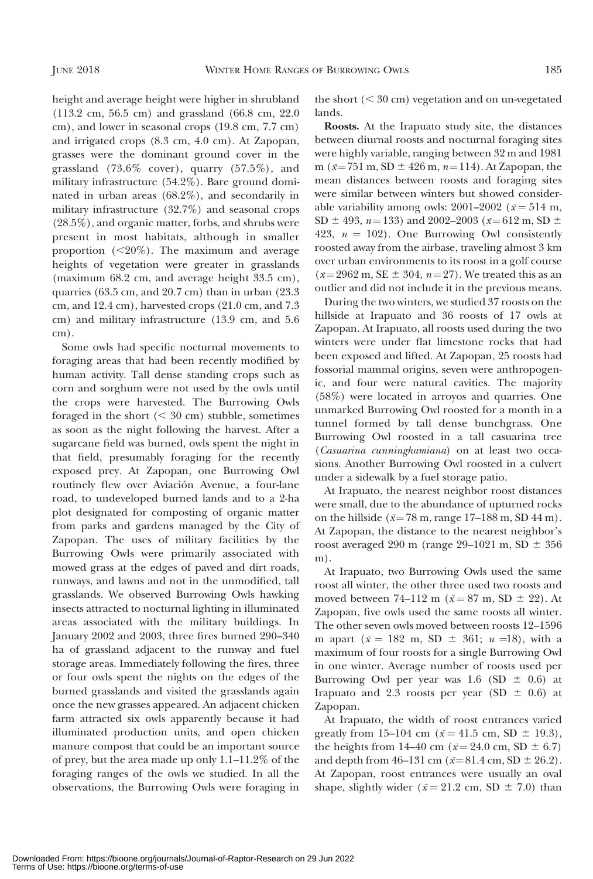height and average height were higher in shrubland (113.2 cm, 56.5 cm) and grassland (66.8 cm, 22.0 cm), and lower in seasonal crops (19.8 cm, 7.7 cm) and irrigated crops (8.3 cm, 4.0 cm). At Zapopan, grasses were the dominant ground cover in the grassland (73.6% cover), quarry (57.5%), and military infrastructure (54.2%). Bare ground dominated in urban areas (68.2%), and secondarily in military infrastructure (32.7%) and seasonal crops (28.5%), and organic matter, forbs, and shrubs were present in most habitats, although in smaller proportion  $(\leq 20\%)$ . The maximum and average heights of vegetation were greater in grasslands (maximum 68.2 cm, and average height 33.5 cm), quarries (63.5 cm, and 20.7 cm) than in urban (23.3 cm, and 12.4 cm), harvested crops (21.0 cm, and 7.3 cm) and military infrastructure (13.9 cm, and 5.6 cm).

Some owls had specific nocturnal movements to foraging areas that had been recently modified by human activity. Tall dense standing crops such as corn and sorghum were not used by the owls until the crops were harvested. The Burrowing Owls foraged in the short  $( $30 \text{ cm}$ )$  stubble, sometimes as soon as the night following the harvest. After a sugarcane field was burned, owls spent the night in that field, presumably foraging for the recently exposed prey. At Zapopan, one Burrowing Owl routinely flew over Aviación Avenue, a four-lane road, to undeveloped burned lands and to a 2-ha plot designated for composting of organic matter from parks and gardens managed by the City of Zapopan. The uses of military facilities by the Burrowing Owls were primarily associated with mowed grass at the edges of paved and dirt roads, runways, and lawns and not in the unmodified, tall grasslands. We observed Burrowing Owls hawking insects attracted to nocturnal lighting in illuminated areas associated with the military buildings. In January 2002 and 2003, three fires burned 290–340 ha of grassland adjacent to the runway and fuel storage areas. Immediately following the fires, three or four owls spent the nights on the edges of the burned grasslands and visited the grasslands again once the new grasses appeared. An adjacent chicken farm attracted six owls apparently because it had illuminated production units, and open chicken manure compost that could be an important source of prey, but the area made up only 1.1–11.2% of the foraging ranges of the owls we studied. In all the observations, the Burrowing Owls were foraging in

the short  $( $30 \text{ cm}$ ) vegetation and on un-weighted$ lands.

Roosts. At the Irapuato study site, the distances between diurnal roosts and nocturnal foraging sites were highly variable, ranging between 32 m and 1981 m ( $\bar{x}$ =751 m, SD ± 426 m, n=114). At Zapopan, the mean distances between roosts and foraging sites were similar between winters but showed considerable variability among owls:  $2001-2002$  ( $\bar{x} = 514$  m, SD  $\pm$  493, n=133) and 2002–2003 ( $\bar{x}$ =612 m, SD  $\pm$ 423,  $n = 102$ ). One Burrowing Owl consistently roosted away from the airbase, traveling almost 3 km over urban environments to its roost in a golf course ( $\bar{x}$ = 2962 m, SE  $\pm$  304, n= 27). We treated this as an outlier and did not include it in the previous means.

During the two winters, we studied 37 roosts on the hillside at Irapuato and 36 roosts of 17 owls at Zapopan. At Irapuato, all roosts used during the two winters were under flat limestone rocks that had been exposed and lifted. At Zapopan, 25 roosts had fossorial mammal origins, seven were anthropogenic, and four were natural cavities. The majority (58%) were located in arroyos and quarries. One unmarked Burrowing Owl roosted for a month in a tunnel formed by tall dense bunchgrass. One Burrowing Owl roosted in a tall casuarina tree (Casuarina cunninghamiana) on at least two occasions. Another Burrowing Owl roosted in a culvert under a sidewalk by a fuel storage patio.

At Irapuato, the nearest neighbor roost distances were small, due to the abundance of upturned rocks on the hillside ( $\bar{x}$ =78 m, range 17–188 m, SD 44 m). At Zapopan, the distance to the nearest neighbor's roost averaged 290 m (range 29–1021 m, SD  $\pm$  356 m).

At Irapuato, two Burrowing Owls used the same roost all winter, the other three used two roosts and moved between 74–112 m ( $\bar{x}$  = 87 m, SD  $\pm$  22). At Zapopan, five owls used the same roosts all winter. The other seven owls moved between roosts 12–1596 m apart ( $\bar{x} = 182$  m, SD  $\pm$  361;  $n = 18$ ), with a maximum of four roosts for a single Burrowing Owl in one winter. Average number of roosts used per Burrowing Owl per year was 1.6 (SD  $\pm$  0.6) at Irapuato and 2.3 roosts per year (SD  $\pm$  0.6) at Zapopan.

At Irapuato, the width of roost entrances varied greatly from 15–104 cm ( $\bar{x}$  = 41.5 cm, SD  $\pm$  19.3), the heights from 14–40 cm ( $\bar{x}$  = 24.0 cm, SD  $\pm$  6.7) and depth from 46–131 cm ( $\bar{x}$ =81.4 cm, SD  $\pm$  26.2). At Zapopan, roost entrances were usually an oval shape, slightly wider ( $\bar{x}$  = 21.2 cm, SD  $\pm$  7.0) than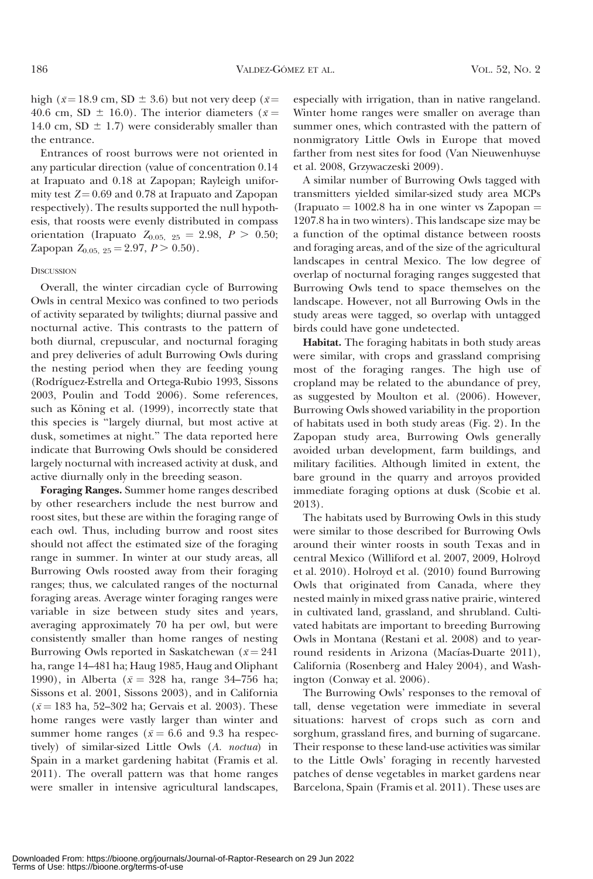high ( $\bar{x}$ =18.9 cm, SD  $\pm$  3.6) but not very deep ( $\bar{x}$ = 40.6 cm, SD  $\pm$  16.0). The interior diameters ( $\bar{x}$  = 14.0 cm, SD  $\pm$  1.7) were considerably smaller than the entrance.

Entrances of roost burrows were not oriented in any particular direction (value of concentration 0.14 at Irapuato and 0.18 at Zapopan; Rayleigh uniformity test  $Z = 0.69$  and 0.78 at Irapuato and Zapopan respectively). The results supported the null hypothesis, that roosts were evenly distributed in compass orientation (Irapuato  $Z_{0.05, 25} = 2.98, P > 0.50;$ Zapopan  $Z_{0.05, 25} = 2.97, P > 0.50$ .

#### **DISCUSSION**

Overall, the winter circadian cycle of Burrowing Owls in central Mexico was confined to two periods of activity separated by twilights; diurnal passive and nocturnal active. This contrasts to the pattern of both diurnal, crepuscular, and nocturnal foraging and prey deliveries of adult Burrowing Owls during the nesting period when they are feeding young (Rodríguez-Estrella and Ortega-Rubio 1993, Sissons 2003, Poulin and Todd 2006). Some references, such as Köning et al. (1999), incorrectly state that this species is ''largely diurnal, but most active at dusk, sometimes at night.'' The data reported here indicate that Burrowing Owls should be considered largely nocturnal with increased activity at dusk, and active diurnally only in the breeding season.

Foraging Ranges. Summer home ranges described by other researchers include the nest burrow and roost sites, but these are within the foraging range of each owl. Thus, including burrow and roost sites should not affect the estimated size of the foraging range in summer. In winter at our study areas, all Burrowing Owls roosted away from their foraging ranges; thus, we calculated ranges of the nocturnal foraging areas. Average winter foraging ranges were variable in size between study sites and years, averaging approximately 70 ha per owl, but were consistently smaller than home ranges of nesting Burrowing Owls reported in Saskatchewan ( $\bar{x}$  = 241 ha, range 14–481 ha; Haug 1985, Haug and Oliphant 1990), in Alberta ( $\bar{x}$  = 328 ha, range 34–756 ha; Sissons et al. 2001, Sissons 2003), and in California  $(\bar{x} = 183 \text{ ha}, 52-302 \text{ ha}; \text{Gervais et al. } 2003)$ . These home ranges were vastly larger than winter and summer home ranges ( $\bar{x} = 6.6$  and 9.3 ha respectively) of similar-sized Little Owls (A. noctua) in Spain in a market gardening habitat (Framis et al. 2011). The overall pattern was that home ranges were smaller in intensive agricultural landscapes,

especially with irrigation, than in native rangeland. Winter home ranges were smaller on average than summer ones, which contrasted with the pattern of nonmigratory Little Owls in Europe that moved farther from nest sites for food (Van Nieuwenhuyse et al. 2008, Grzywaczeski 2009).

A similar number of Burrowing Owls tagged with transmitters yielded similar-sized study area MCPs (Irapuato  $= 1002.8$  ha in one winter vs Zapopan  $=$ 1207.8 ha in two winters). This landscape size may be a function of the optimal distance between roosts and foraging areas, and of the size of the agricultural landscapes in central Mexico. The low degree of overlap of nocturnal foraging ranges suggested that Burrowing Owls tend to space themselves on the landscape. However, not all Burrowing Owls in the study areas were tagged, so overlap with untagged birds could have gone undetected.

Habitat. The foraging habitats in both study areas were similar, with crops and grassland comprising most of the foraging ranges. The high use of cropland may be related to the abundance of prey, as suggested by Moulton et al. (2006). However, Burrowing Owls showed variability in the proportion of habitats used in both study areas (Fig. 2). In the Zapopan study area, Burrowing Owls generally avoided urban development, farm buildings, and military facilities. Although limited in extent, the bare ground in the quarry and arroyos provided immediate foraging options at dusk (Scobie et al. 2013).

The habitats used by Burrowing Owls in this study were similar to those described for Burrowing Owls around their winter roosts in south Texas and in central Mexico (Williford et al. 2007, 2009, Holroyd et al. 2010). Holroyd et al. (2010) found Burrowing Owls that originated from Canada, where they nested mainly in mixed grass native prairie, wintered in cultivated land, grassland, and shrubland. Cultivated habitats are important to breeding Burrowing Owls in Montana (Restani et al. 2008) and to yearround residents in Arizona (Macías-Duarte 2011), California (Rosenberg and Haley 2004), and Washington (Conway et al. 2006).

The Burrowing Owls' responses to the removal of tall, dense vegetation were immediate in several situations: harvest of crops such as corn and sorghum, grassland fires, and burning of sugarcane. Their response to these land-use activities was similar to the Little Owls' foraging in recently harvested patches of dense vegetables in market gardens near Barcelona, Spain (Framis et al. 2011). These uses are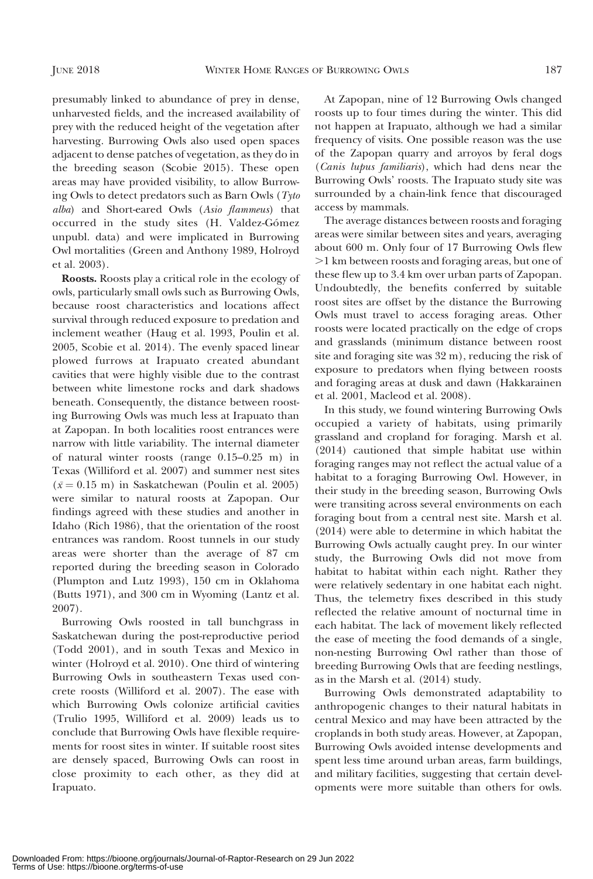presumably linked to abundance of prey in dense, unharvested fields, and the increased availability of prey with the reduced height of the vegetation after harvesting. Burrowing Owls also used open spaces adjacent to dense patches of vegetation, as they do in the breeding season (Scobie 2015). These open areas may have provided visibility, to allow Burrowing Owls to detect predators such as Barn Owls (Tyto alba) and Short-eared Owls (Asio flammeus) that occurred in the study sites (H. Valdez-Gómez unpubl. data) and were implicated in Burrowing Owl mortalities (Green and Anthony 1989, Holroyd et al. 2003).

Roosts. Roosts play a critical role in the ecology of owls, particularly small owls such as Burrowing Owls, because roost characteristics and locations affect survival through reduced exposure to predation and inclement weather (Haug et al. 1993, Poulin et al. 2005, Scobie et al. 2014). The evenly spaced linear plowed furrows at Irapuato created abundant cavities that were highly visible due to the contrast between white limestone rocks and dark shadows beneath. Consequently, the distance between roosting Burrowing Owls was much less at Irapuato than at Zapopan. In both localities roost entrances were narrow with little variability. The internal diameter of natural winter roosts (range 0.15–0.25 m) in Texas (Williford et al. 2007) and summer nest sites  $(\bar{x} = 0.15 \text{ m})$  in Saskatchewan (Poulin et al. 2005) were similar to natural roosts at Zapopan. Our findings agreed with these studies and another in Idaho (Rich 1986), that the orientation of the roost entrances was random. Roost tunnels in our study areas were shorter than the average of 87 cm reported during the breeding season in Colorado (Plumpton and Lutz 1993), 150 cm in Oklahoma (Butts 1971), and 300 cm in Wyoming (Lantz et al. 2007).

Burrowing Owls roosted in tall bunchgrass in Saskatchewan during the post-reproductive period (Todd 2001), and in south Texas and Mexico in winter (Holroyd et al. 2010). One third of wintering Burrowing Owls in southeastern Texas used concrete roosts (Williford et al. 2007). The ease with which Burrowing Owls colonize artificial cavities (Trulio 1995, Williford et al. 2009) leads us to conclude that Burrowing Owls have flexible requirements for roost sites in winter. If suitable roost sites are densely spaced, Burrowing Owls can roost in close proximity to each other, as they did at Irapuato.

At Zapopan, nine of 12 Burrowing Owls changed roosts up to four times during the winter. This did not happen at Irapuato, although we had a similar frequency of visits. One possible reason was the use of the Zapopan quarry and arroyos by feral dogs (Canis lupus familiaris), which had dens near the Burrowing Owls' roosts. The Irapuato study site was surrounded by a chain-link fence that discouraged access by mammals.

The average distances between roosts and foraging areas were similar between sites and years, averaging about 600 m. Only four of 17 Burrowing Owls flew .1 km between roosts and foraging areas, but one of these flew up to 3.4 km over urban parts of Zapopan. Undoubtedly, the benefits conferred by suitable roost sites are offset by the distance the Burrowing Owls must travel to access foraging areas. Other roosts were located practically on the edge of crops and grasslands (minimum distance between roost site and foraging site was 32 m), reducing the risk of exposure to predators when flying between roosts and foraging areas at dusk and dawn (Hakkarainen et al. 2001, Macleod et al. 2008).

In this study, we found wintering Burrowing Owls occupied a variety of habitats, using primarily grassland and cropland for foraging. Marsh et al. (2014) cautioned that simple habitat use within foraging ranges may not reflect the actual value of a habitat to a foraging Burrowing Owl. However, in their study in the breeding season, Burrowing Owls were transiting across several environments on each foraging bout from a central nest site. Marsh et al. (2014) were able to determine in which habitat the Burrowing Owls actually caught prey. In our winter study, the Burrowing Owls did not move from habitat to habitat within each night. Rather they were relatively sedentary in one habitat each night. Thus, the telemetry fixes described in this study reflected the relative amount of nocturnal time in each habitat. The lack of movement likely reflected the ease of meeting the food demands of a single, non-nesting Burrowing Owl rather than those of breeding Burrowing Owls that are feeding nestlings, as in the Marsh et al. (2014) study.

Burrowing Owls demonstrated adaptability to anthropogenic changes to their natural habitats in central Mexico and may have been attracted by the croplands in both study areas. However, at Zapopan, Burrowing Owls avoided intense developments and spent less time around urban areas, farm buildings, and military facilities, suggesting that certain developments were more suitable than others for owls.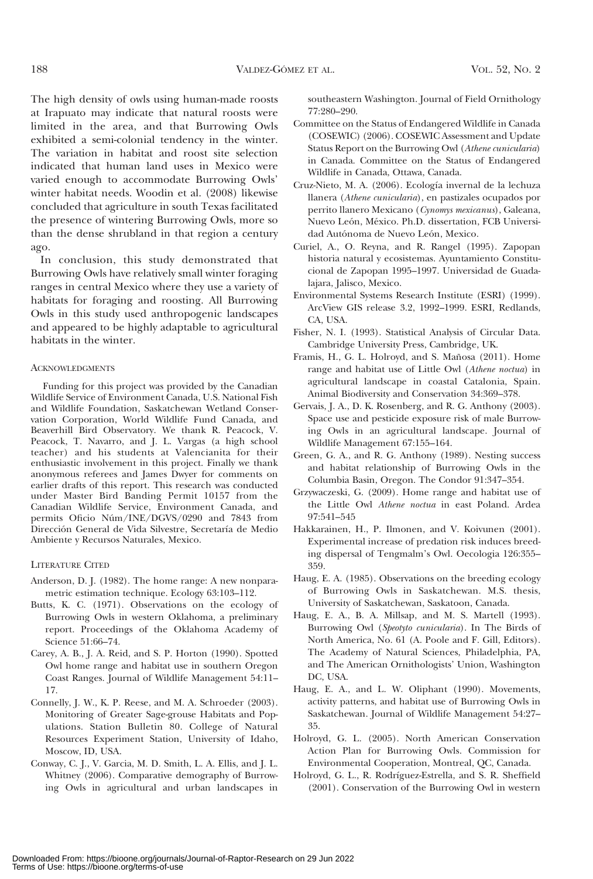The high density of owls using human-made roosts at Irapuato may indicate that natural roosts were limited in the area, and that Burrowing Owls exhibited a semi-colonial tendency in the winter. The variation in habitat and roost site selection indicated that human land uses in Mexico were varied enough to accommodate Burrowing Owls' winter habitat needs. Woodin et al. (2008) likewise concluded that agriculture in south Texas facilitated the presence of wintering Burrowing Owls, more so than the dense shrubland in that region a century ago.

In conclusion, this study demonstrated that Burrowing Owls have relatively small winter foraging ranges in central Mexico where they use a variety of habitats for foraging and roosting. All Burrowing Owls in this study used anthropogenic landscapes and appeared to be highly adaptable to agricultural habitats in the winter.

#### ACKNOWLEDGMENTS

Funding for this project was provided by the Canadian Wildlife Service of Environment Canada, U.S. National Fish and Wildlife Foundation, Saskatchewan Wetland Conservation Corporation, World Wildlife Fund Canada, and Beaverhill Bird Observatory. We thank R. Peacock, V. Peacock, T. Navarro, and J. L. Vargas (a high school teacher) and his students at Valencianita for their enthusiastic involvement in this project. Finally we thank anonymous referees and James Dwyer for comments on earlier drafts of this report. This research was conducted under Master Bird Banding Permit 10157 from the Canadian Wildlife Service, Environment Canada, and permits Oficio Núm/INE/DGVS/0290 and 7843 from Dirección General de Vida Silvestre, Secretaría de Medio Ambiente y Recursos Naturales, Mexico.

#### LITERATURE CITED

- Anderson, D. J. (1982). The home range: A new nonparametric estimation technique. Ecology 63:103–112.
- Butts, K. C. (1971). Observations on the ecology of Burrowing Owls in western Oklahoma, a preliminary report. Proceedings of the Oklahoma Academy of Science 51:66–74.
- Carey, A. B., J. A. Reid, and S. P. Horton (1990). Spotted Owl home range and habitat use in southern Oregon Coast Ranges. Journal of Wildlife Management 54:11– 17.
- Connelly, J. W., K. P. Reese, and M. A. Schroeder (2003). Monitoring of Greater Sage-grouse Habitats and Populations. Station Bulletin 80. College of Natural Resources Experiment Station, University of Idaho, Moscow, ID, USA.
- Conway, C. J., V. Garcia, M. D. Smith, L. A. Ellis, and J. L. Whitney (2006). Comparative demography of Burrowing Owls in agricultural and urban landscapes in

southeastern Washington. Journal of Field Ornithology 77:280–290.

- Committee on the Status of Endangered Wildlife in Canada (COSEWIC) (2006). COSEWIC Assessment and Update Status Report on the Burrowing Owl (Athene cunicularia) in Canada. Committee on the Status of Endangered Wildlife in Canada, Ottawa, Canada.
- Cruz-Nieto, M. A. (2006). Ecología invernal de la lechuza llanera (Athene cunicularia), en pastizales ocupados por perrito llanero Mexicano (Cynomys mexicanus), Galeana, Nuevo León, México. Ph.D. dissertation, FCB Universidad Autónoma de Nuevo León, Mexico.
- Curiel, A., O. Reyna, and R. Rangel (1995). Zapopan historia natural y ecosistemas. Ayuntamiento Constitucional de Zapopan 1995–1997. Universidad de Guadalajara, Jalisco, Mexico.
- Environmental Systems Research Institute (ESRI) (1999). ArcView GIS release 3.2, 1992–1999. ESRI, Redlands, CA, USA.
- Fisher, N. I. (1993). Statistical Analysis of Circular Data. Cambridge University Press, Cambridge, UK.
- Framis, H., G. L. Holroyd, and S. Mañosa (2011). Home range and habitat use of Little Owl (Athene noctua) in agricultural landscape in coastal Catalonia, Spain. Animal Biodiversity and Conservation 34:369–378.
- Gervais, J. A., D. K. Rosenberg, and R. G. Anthony (2003). Space use and pesticide exposure risk of male Burrowing Owls in an agricultural landscape. Journal of Wildlife Management 67:155–164.
- Green, G. A., and R. G. Anthony (1989). Nesting success and habitat relationship of Burrowing Owls in the Columbia Basin, Oregon. The Condor 91:347–354.
- Grzywaczeski, G. (2009). Home range and habitat use of the Little Owl Athene noctua in east Poland. Ardea 97:541–545
- Hakkarainen, H., P. Ilmonen, and V. Koivunen (2001). Experimental increase of predation risk induces breeding dispersal of Tengmalm's Owl. Oecologia 126:355– 359.
- Haug, E. A. (1985). Observations on the breeding ecology of Burrowing Owls in Saskatchewan. M.S. thesis, University of Saskatchewan, Saskatoon, Canada.
- Haug, E. A., B. A. Millsap, and M. S. Martell (1993). Burrowing Owl (Speotyto cunicularia). In The Birds of North America, No. 61 (A. Poole and F. Gill, Editors). The Academy of Natural Sciences, Philadelphia, PA, and The American Ornithologists' Union, Washington DC, USA.
- Haug, E. A., and L. W. Oliphant (1990). Movements, activity patterns, and habitat use of Burrowing Owls in Saskatchewan. Journal of Wildlife Management 54:27– 35.
- Holroyd, G. L. (2005). North American Conservation Action Plan for Burrowing Owls. Commission for Environmental Cooperation, Montreal, QC, Canada.
- Holroyd, G. L., R. Rodríguez-Estrella, and S. R. Sheffield (2001). Conservation of the Burrowing Owl in western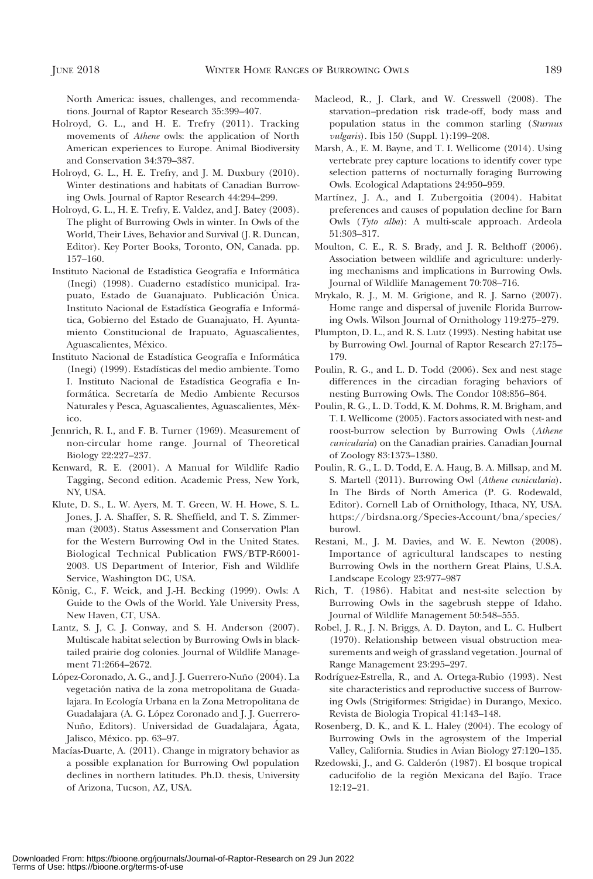North America: issues, challenges, and recommendations. Journal of Raptor Research 35:399–407.

- Holroyd, G. L., and H. E. Trefry (2011). Tracking movements of Athene owls: the application of North American experiences to Europe. Animal Biodiversity and Conservation 34:379–387.
- Holroyd, G. L., H. E. Trefry, and J. M. Duxbury (2010). Winter destinations and habitats of Canadian Burrowing Owls. Journal of Raptor Research 44:294–299.
- Holroyd, G. L., H. E. Trefry, E. Valdez, and J. Batey (2003). The plight of Burrowing Owls in winter. In Owls of the World, Their Lives, Behavior and Survival (J. R. Duncan, Editor). Key Porter Books, Toronto, ON, Canada. pp. 157–160.
- Instituto Nacional de Estadística Geografía e Informática (Inegi) (1998). Cuaderno estadístico municipal. Irapuato, Estado de Guanajuato. Publicación Única. Instituto Nacional de Estadística Geografía e Informática, Gobierno del Estado de Guanajuato, H. Ayuntamiento Constitucional de Irapuato, Aguascalientes, Aguascalientes, México.
- Instituto Nacional de Estadística Geografía e Informática (Inegi) (1999). Estadísticas del medio ambiente. Tomo I. Instituto Nacional de Estadística Geografía e Informática. Secretaría de Medio Ambiente Recursos Naturales y Pesca, Aguascalientes, Aguascalientes, México.
- Jennrich, R. I., and F. B. Turner (1969). Measurement of non-circular home range. Journal of Theoretical Biology 22:227–237.
- Kenward, R. E. (2001). A Manual for Wildlife Radio Tagging, Second edition. Academic Press, New York, NY, USA.
- Klute, D. S., L. W. Ayers, M. T. Green, W. H. Howe, S. L. Jones, J. A. Shaffer, S. R. Sheffield, and T. S. Zimmerman (2003). Status Assessment and Conservation Plan for the Western Burrowing Owl in the United States. Biological Technical Publication FWS/BTP-R6001- 2003. US Department of Interior, Fish and Wildlife Service, Washington DC, USA.
- König, C., F. Weick, and J.-H. Becking (1999). Owls: A Guide to the Owls of the World. Yale University Press, New Haven, CT, USA.
- Lantz, S. J, C. J. Conway, and S. H. Anderson (2007). Multiscale habitat selection by Burrowing Owls in blacktailed prairie dog colonies. Journal of Wildlife Management 71:2664–2672.
- López-Coronado, A. G., and J. J. Guerrero-Nuño (2004). La vegetación nativa de la zona metropolitana de Guadalajara. In Ecología Urbana en la Zona Metropolitana de Guadalajara (A. G. López Coronado and J. J. Guerrero-Nuño, Editors). Universidad de Guadalajara, Ágata, Jalisco, México. pp. 63-97.
- Macías-Duarte, A. (2011). Change in migratory behavior as a possible explanation for Burrowing Owl population declines in northern latitudes. Ph.D. thesis, University of Arizona, Tucson, AZ, USA.
- Macleod, R., J. Clark, and W. Cresswell (2008). The starvation–predation risk trade-off, body mass and population status in the common starling (Sturnus vulgaris). Ibis 150 (Suppl. 1):199–208.
- Marsh, A., E. M. Bayne, and T. I. Wellicome (2014). Using vertebrate prey capture locations to identify cover type selection patterns of nocturnally foraging Burrowing Owls. Ecological Adaptations 24:950–959.
- Martínez, J. A., and I. Zubergoitia (2004). Habitat preferences and causes of population decline for Barn Owls (Tyto alba): A multi-scale approach. Ardeola 51:303–317.
- Moulton, C. E., R. S. Brady, and J. R. Belthoff (2006). Association between wildlife and agriculture: underlying mechanisms and implications in Burrowing Owls. Journal of Wildlife Management 70:708–716.
- Mrykalo, R. J., M. M. Grigione, and R. J. Sarno (2007). Home range and dispersal of juvenile Florida Burrowing Owls. Wilson Journal of Ornithology 119:275–279.
- Plumpton, D. L., and R. S. Lutz (1993). Nesting habitat use by Burrowing Owl. Journal of Raptor Research 27:175– 179.
- Poulin, R. G., and L. D. Todd (2006). Sex and nest stage differences in the circadian foraging behaviors of nesting Burrowing Owls. The Condor 108:856–864.
- Poulin, R. G., L. D. Todd, K. M. Dohms, R. M. Brigham, and T. I. Wellicome (2005). Factors associated with nest- and roost-burrow selection by Burrowing Owls (Athene cunicularia) on the Canadian prairies. Canadian Journal of Zoology 83:1373–1380.
- Poulin, R. G., L. D. Todd, E. A. Haug, B. A. Millsap, and M. S. Martell (2011). Burrowing Owl (Athene cunicularia). In The Birds of North America (P. G. Rodewald, Editor). Cornell Lab of Ornithology, Ithaca, NY, USA. https://birdsna.org/Species-Account/bna/species/ burowl.
- Restani, M., J. M. Davies, and W. E. Newton (2008). Importance of agricultural landscapes to nesting Burrowing Owls in the northern Great Plains, U.S.A. Landscape Ecology 23:977–987
- Rich, T. (1986). Habitat and nest-site selection by Burrowing Owls in the sagebrush steppe of Idaho. Journal of Wildlife Management 50:548–555.
- Robel, J. R., J. N. Briggs, A. D. Dayton, and L. C. Hulbert (1970). Relationship between visual obstruction measurements and weigh of grassland vegetation. Journal of Range Management 23:295–297.
- Rodríguez-Estrella, R., and A. Ortega-Rubio (1993). Nest site characteristics and reproductive success of Burrowing Owls (Strigiformes: Strigidae) in Durango, Mexico. Revista de Biologia Tropical 41:143–148.
- Rosenberg, D. K., and K. L. Haley (2004). The ecology of Burrowing Owls in the agrosystem of the Imperial Valley, California. Studies in Avian Biology 27:120–135.
- Rzedowski, J., and G. Calderón (1987). El bosque tropical caducifolio de la región Mexicana del Bajío. Trace 12:12–21.